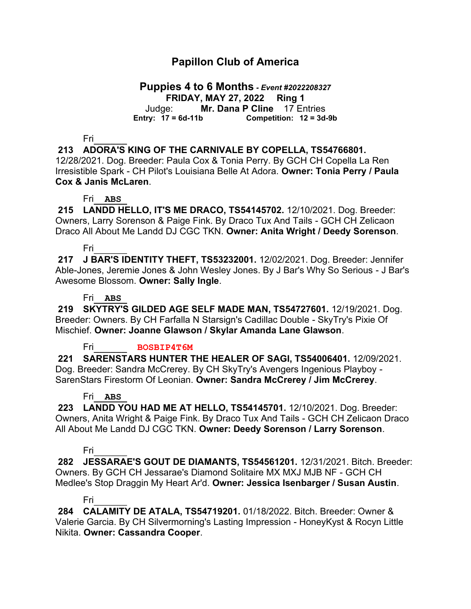# **Papillon Club of America**

# **Puppies 4 to 6 Months** *- Event #2022208327*

**FRIDAY, MAY 27, 2022 Ring 1** Judge: **Mr. Dana P Cline** 17 Entries

**Entry: 17 = 6d-11b Competition: 12 = 3d-9b**

Fri\_\_\_\_\_\_

### **213 ADORA'S KING OF THE CARNIVALE BY COPELLA, TS54766801.**

12/28/2021. Dog. Breeder: Paula Cox & Tonia Perry. By GCH CH Copella La Ren Irresistible Spark - CH Pilot's Louisiana Belle At Adora. **Owner: Tonia Perry / Paula Cox & Janis McLaren**.

#### Fri\_\_**ABS**\_

**215 LANDD HELLO, IT'S ME DRACO, TS54145702.** 12/10/2021. Dog. Breeder: Owners, Larry Sorenson & Paige Fink. By Draco Tux And Tails - GCH CH Zelicaon Draco All About Me Landd DJ CGC TKN. **Owner: Anita Wright / Deedy Sorenson**.

#### Fri\_\_\_\_\_\_

**217 J BAR'S IDENTITY THEFT, TS53232001.** 12/02/2021. Dog. Breeder: Jennifer Able-Jones, Jeremie Jones & John Wesley Jones. By J Bar's Why So Serious - J Bar's Awesome Blossom. **Owner: Sally Ingle**.

#### Fri\_\_**ABS**\_

**219 SKYTRY'S GILDED AGE SELF MADE MAN, TS54727601.** 12/19/2021. Dog. Breeder: Owners. By CH Farfalla N Starsign's Cadillac Double - SkyTry's Pixie Of Mischief. **Owner: Joanne Glawson / Skylar Amanda Lane Glawson**.

Fri\_\_\_\_\_\_ **BOSBIP4T6M**

**221 SARENSTARS HUNTER THE HEALER OF SAGI, TS54006401.** 12/09/2021. Dog. Breeder: Sandra McCrerey. By CH SkyTry's Avengers Ingenious Playboy - SarenStars Firestorm Of Leonian. **Owner: Sandra McCrerey / Jim McCrerey**.

#### Fri\_\_**ABS**\_

**223 LANDD YOU HAD ME AT HELLO, TS54145701.** 12/10/2021. Dog. Breeder: Owners, Anita Wright & Paige Fink. By Draco Tux And Tails - GCH CH Zelicaon Draco All About Me Landd DJ CGC TKN. **Owner: Deedy Sorenson / Larry Sorenson**.

### Fri\_\_\_\_\_\_

**282 JESSARAE'S GOUT DE DIAMANTS, TS54561201.** 12/31/2021. Bitch. Breeder: Owners. By GCH CH Jessarae's Diamond Solitaire MX MXJ MJB NF - GCH CH Medlee's Stop Draggin My Heart Ar'd. **Owner: Jessica Isenbarger / Susan Austin**.

#### Fri\_\_\_\_\_\_

**284 CALAMITY DE ATALA, TS54719201.** 01/18/2022. Bitch. Breeder: Owner & Valerie Garcia. By CH Silvermorning's Lasting Impression - HoneyKyst & Rocyn Little Nikita. **Owner: Cassandra Cooper**.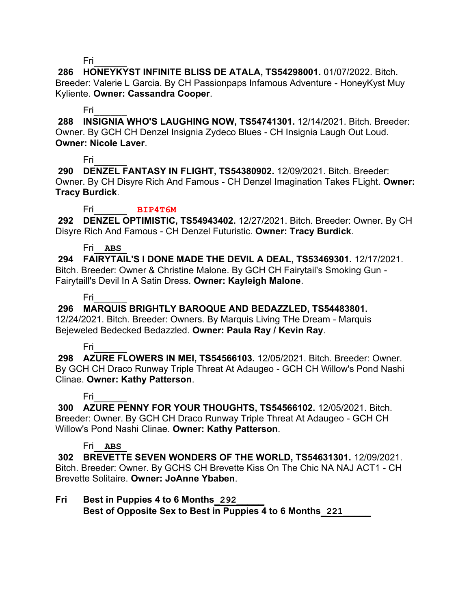**286 HONEYKYST INFINITE BLISS DE ATALA, TS54298001.** 01/07/2022. Bitch. Breeder: Valerie L Garcia. By CH Passionpaps Infamous Adventure - HoneyKyst Muy Kyliente. **Owner: Cassandra Cooper**.

### Fri\_\_\_\_\_\_

**288 INSIGNIA WHO'S LAUGHING NOW, TS54741301.** 12/14/2021. Bitch. Breeder: Owner. By GCH CH Denzel Insignia Zydeco Blues - CH Insignia Laugh Out Loud. **Owner: Nicole Laver**.

# Fri\_\_\_\_\_\_

**290 DENZEL FANTASY IN FLIGHT, TS54380902.** 12/09/2021. Bitch. Breeder: Owner. By CH Disyre Rich And Famous - CH Denzel Imagination Takes FLight. **Owner: Tracy Burdick**.

### Fri\_\_\_\_\_\_ **BIP4T6M**

**292 DENZEL OPTIMISTIC, TS54943402.** 12/27/2021. Bitch. Breeder: Owner. By CH Disyre Rich And Famous - CH Denzel Futuristic. **Owner: Tracy Burdick**.

### Fri\_\_**ABS**\_

**294 FAIRYTAIL'S I DONE MADE THE DEVIL A DEAL, TS53469301.** 12/17/2021. Bitch. Breeder: Owner & Christine Malone. By GCH CH Fairytail's Smoking Gun - Fairytaill's Devil In A Satin Dress. **Owner: Kayleigh Malone**.

# Fri\_\_\_\_\_\_

# **296 MARQUIS BRIGHTLY BAROQUE AND BEDAZZLED, TS54483801.**

12/24/2021. Bitch. Breeder: Owners. By Marquis Living THe Dream - Marquis Bejeweled Bedecked Bedazzled. **Owner: Paula Ray / Kevin Ray**.

### Fri\_\_\_\_\_\_

**298 AZURE FLOWERS IN MEI, TS54566103.** 12/05/2021. Bitch. Breeder: Owner. By GCH CH Draco Runway Triple Threat At Adaugeo - GCH CH Willow's Pond Nashi Clinae. **Owner: Kathy Patterson**.

# Fri\_\_\_\_\_\_

**300 AZURE PENNY FOR YOUR THOUGHTS, TS54566102.** 12/05/2021. Bitch. Breeder: Owner. By GCH CH Draco Runway Triple Threat At Adaugeo - GCH CH Willow's Pond Nashi Clinae. **Owner: Kathy Patterson**.

# Fri\_\_**ABS**\_

**302 BREVETTE SEVEN WONDERS OF THE WORLD, TS54631301.** 12/09/2021. Bitch. Breeder: Owner. By GCHS CH Brevette Kiss On The Chic NA NAJ ACT1 - CH Brevette Solitaire. **Owner: JoAnne Ybaben**.

# **Fri Best in Puppies 4 to 6 Months\_292\_\_\_\_\_**

**Best of Opposite Sex to Best in Puppies 4 to 6 Months\_221\_\_\_\_\_**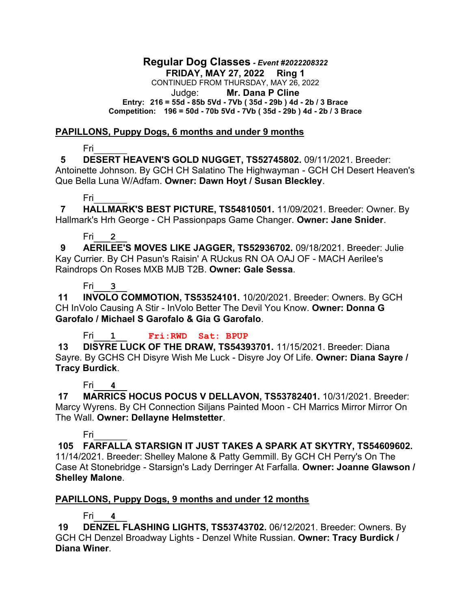#### **Regular Dog Classes** *- Event #2022208322* **FRIDAY, MAY 27, 2022 Ring 1** CONTINUED FROM THURSDAY, MAY 26, 2022 Judge: **Mr. Dana P Cline Entry: 216 = 55d - 85b 5Vd - 7Vb ( 35d - 29b ) 4d - 2b / 3 Brace Competition: 196 = 50d - 70b 5Vd - 7Vb ( 35d - 29b ) 4d - 2b / 3 Brace**

### **PAPILLONS, Puppy Dogs, 6 months and under 9 months**

Fri\_\_\_\_\_\_

 **5 DESERT HEAVEN'S GOLD NUGGET, TS52745802.** 09/11/2021. Breeder: Antoinette Johnson. By GCH CH Salatino The Highwayman - GCH CH Desert Heaven's Que Bella Luna W/Adfam. **Owner: Dawn Hoyt / Susan Bleckley**.

Fri\_\_\_\_\_\_

 **7 HALLMARK'S BEST PICTURE, TS54810501.** 11/09/2021. Breeder: Owner. By Hallmark's Hrh George - CH Passionpaps Game Changer. **Owner: Jane Snider**.

### Fri\_\_\_**2**\_\_

 **9 AERILEE'S MOVES LIKE JAGGER, TS52936702.** 09/18/2021. Breeder: Julie Kay Currier. By CH Pasun's Raisin' A RUckus RN OA OAJ OF - MACH Aerilee's Raindrops On Roses MXB MJB T2B. **Owner: Gale Sessa**.

Fri\_\_\_**3**\_\_

**11 INVOLO COMMOTION, TS53524101.** 10/20/2021. Breeder: Owners. By GCH CH InVolo Causing A Stir - InVolo Better The Devil You Know. **Owner: Donna G Garofalo / Michael S Garofalo & Gia G Garofalo**.

Fri\_\_\_**1**\_\_ **Fri:RWD Sat: BPUP**

**13 DISYRE LUCK OF THE DRAW, TS54393701.** 11/15/2021. Breeder: Diana Sayre. By GCHS CH Disyre Wish Me Luck - Disyre Joy Of Life. **Owner: Diana Sayre / Tracy Burdick**.

# Fri\_\_\_**4**\_\_

**17 MARRICS HOCUS POCUS V DELLAVON, TS53782401.** 10/31/2021. Breeder: Marcy Wyrens. By CH Connection Siljans Painted Moon - CH Marrics Mirror Mirror On The Wall. **Owner: Dellayne Helmstetter**.

# Fri\_\_\_\_\_\_

**105 FARFALLA STARSIGN IT JUST TAKES A SPARK AT SKYTRY, TS54609602.**  11/14/2021. Breeder: Shelley Malone & Patty Gemmill. By GCH CH Perry's On The Case At Stonebridge - Starsign's Lady Derringer At Farfalla. **Owner: Joanne Glawson / Shelley Malone**.

# **PAPILLONS, Puppy Dogs, 9 months and under 12 months**

# Fri\_\_\_**4**\_\_

**19 DENZEL FLASHING LIGHTS, TS53743702.** 06/12/2021. Breeder: Owners. By GCH CH Denzel Broadway Lights - Denzel White Russian. **Owner: Tracy Burdick / Diana Winer**.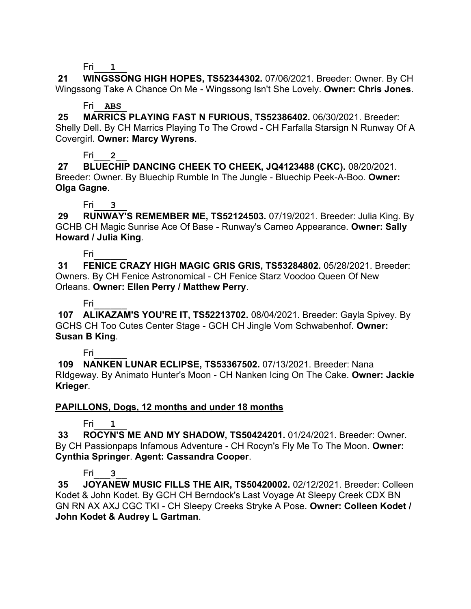Fri\_\_\_**1**\_\_

**21 WINGSSONG HIGH HOPES, TS52344302.** 07/06/2021. Breeder: Owner. By CH Wingssong Take A Chance On Me - Wingssong Isn't She Lovely. **Owner: Chris Jones**.

### Fri\_\_**ABS**\_

**25 MARRICS PLAYING FAST N FURIOUS, TS52386402.** 06/30/2021. Breeder: Shelly Dell. By CH Marrics Playing To The Crowd - CH Farfalla Starsign N Runway Of A Covergirl. **Owner: Marcy Wyrens**.

Fri\_\_\_**2**\_\_

**27 BLUECHIP DANCING CHEEK TO CHEEK, JQ4123488 (CKC).** 08/20/2021. Breeder: Owner. By Bluechip Rumble In The Jungle - Bluechip Peek-A-Boo. **Owner: Olga Gagne**.

Fri\_\_\_**3**\_\_

**29 RUNWAY'S REMEMBER ME, TS52124503.** 07/19/2021. Breeder: Julia King. By GCHB CH Magic Sunrise Ace Of Base - Runway's Cameo Appearance. **Owner: Sally Howard / Julia King**.

Fri\_\_\_\_\_\_

**31 FENICE CRAZY HIGH MAGIC GRIS GRIS, TS53284802.** 05/28/2021. Breeder: Owners. By CH Fenice Astronomical - CH Fenice Starz Voodoo Queen Of New Orleans. **Owner: Ellen Perry / Matthew Perry**.

Fri\_\_\_\_\_\_

**107 ALIKAZAM'S YOU'RE IT, TS52213702.** 08/04/2021. Breeder: Gayla Spivey. By GCHS CH Too Cutes Center Stage - GCH CH Jingle Vom Schwabenhof. **Owner: Susan B King**.

Fri\_\_\_\_\_\_

**109 NANKEN LUNAR ECLIPSE, TS53367502.** 07/13/2021. Breeder: Nana RIdgeway. By Animato Hunter's Moon - CH Nanken Icing On The Cake. **Owner: Jackie Krieger**.

# **PAPILLONS, Dogs, 12 months and under 18 months**

Fri\_\_\_**1**\_\_

**33 ROCYN'S ME AND MY SHADOW, TS50424201.** 01/24/2021. Breeder: Owner. By CH Passionpaps Infamous Adventure - CH Rocyn's Fly Me To The Moon. **Owner: Cynthia Springer**. **Agent: Cassandra Cooper**.

# Fri\_\_\_**3**\_\_

**35 JOYANEW MUSIC FILLS THE AIR, TS50420002.** 02/12/2021. Breeder: Colleen Kodet & John Kodet. By GCH CH Berndock's Last Voyage At Sleepy Creek CDX BN GN RN AX AXJ CGC TKI - CH Sleepy Creeks Stryke A Pose. **Owner: Colleen Kodet / John Kodet & Audrey L Gartman**.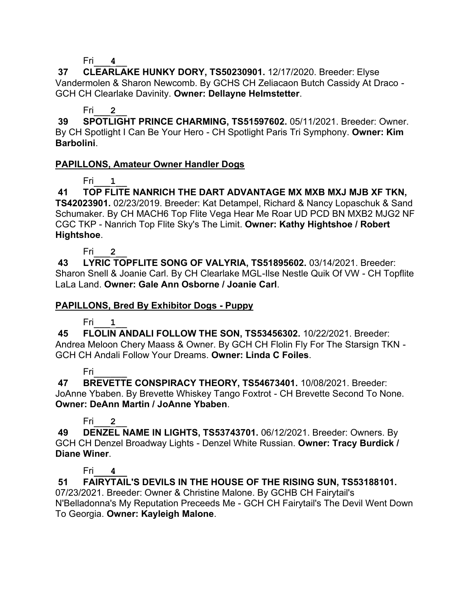Fri\_\_\_**4**\_\_

**37 CLEARLAKE HUNKY DORY, TS50230901.** 12/17/2020. Breeder: Elyse Vandermolen & Sharon Newcomb. By GCHS CH Zeliacaon Butch Cassidy At Draco - GCH CH Clearlake Davinity. **Owner: Dellayne Helmstetter**.

### Fri\_\_\_**2**\_\_

**39 SPOTLIGHT PRINCE CHARMING, TS51597602.** 05/11/2021. Breeder: Owner. By CH Spotlight I Can Be Your Hero - CH Spotlight Paris Tri Symphony. **Owner: Kim Barbolini**.

# **PAPILLONS, Amateur Owner Handler Dogs**

# Fri\_\_\_**1**\_\_

**41 TOP FLITE NANRICH THE DART ADVANTAGE MX MXB MXJ MJB XF TKN, TS42023901.** 02/23/2019. Breeder: Kat Detampel, Richard & Nancy Lopaschuk & Sand Schumaker. By CH MACH6 Top Flite Vega Hear Me Roar UD PCD BN MXB2 MJG2 NF CGC TKP - Nanrich Top Flite Sky's The Limit. **Owner: Kathy Hightshoe / Robert Hightshoe**.

Fri\_\_\_**2**\_\_

**43 LYRIC TOPFLITE SONG OF VALYRIA, TS51895602.** 03/14/2021. Breeder: Sharon Snell & Joanie Carl. By CH Clearlake MGL-Ilse Nestle Quik Of VW - CH Topflite LaLa Land. **Owner: Gale Ann Osborne / Joanie Carl**.

### **PAPILLONS, Bred By Exhibitor Dogs - Puppy**

Fri\_\_\_**1**\_\_

**45 FLOLIN ANDALI FOLLOW THE SON, TS53456302.** 10/22/2021. Breeder: Andrea Meloon Chery Maass & Owner. By GCH CH Flolin Fly For The Starsign TKN - GCH CH Andali Follow Your Dreams. **Owner: Linda C Foiles**.

# Fri\_\_\_\_\_\_

**47 BREVETTE CONSPIRACY THEORY, TS54673401.** 10/08/2021. Breeder: JoAnne Ybaben. By Brevette Whiskey Tango Foxtrot - CH Brevette Second To None. **Owner: DeAnn Martin / JoAnne Ybaben**.

# Fri\_\_\_**2**\_\_

**49 DENZEL NAME IN LIGHTS, TS53743701.** 06/12/2021. Breeder: Owners. By GCH CH Denzel Broadway Lights - Denzel White Russian. **Owner: Tracy Burdick / Diane Winer**.

# Fri\_\_\_**4**\_\_

**51 FAIRYTAIL'S DEVILS IN THE HOUSE OF THE RISING SUN, TS53188101.**  07/23/2021. Breeder: Owner & Christine Malone. By GCHB CH Fairytail's N'Belladonna's My Reputation Preceeds Me - GCH CH Fairytail's The Devil Went Down To Georgia. **Owner: Kayleigh Malone**.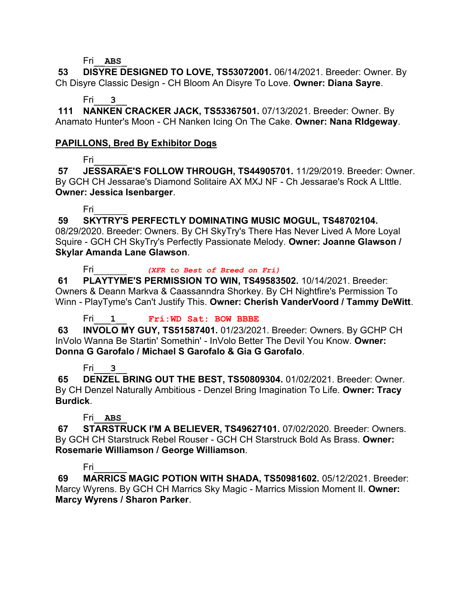#### Fri\_\_**ABS**\_

**53 DISYRE DESIGNED TO LOVE, TS53072001.** 06/14/2021. Breeder: Owner. By Ch Disyre Classic Design - CH Bloom An Disyre To Love. **Owner: Diana Sayre**.

### Fri\_\_\_**3**\_\_

**111 NANKEN CRACKER JACK, TS53367501.** 07/13/2021. Breeder: Owner. By Anamato Hunter's Moon - CH Nanken Icing On The Cake. **Owner: Nana RIdgeway**.

### **PAPILLONS, Bred By Exhibitor Dogs**

Fri\_\_\_\_\_\_

**57 JESSARAE'S FOLLOW THROUGH, TS44905701.** 11/29/2019. Breeder: Owner. By GCH CH Jessarae's Diamond Solitaire AX MXJ NF - Ch Jessarae's Rock A LIttle. **Owner: Jessica Isenbarger**.

### Fri\_\_\_\_\_\_

**59 SKYTRY'S PERFECTLY DOMINATING MUSIC MOGUL, TS48702104.** 

08/29/2020. Breeder: Owners. By CH SkyTry's There Has Never Lived A More Loyal Squire - GCH CH SkyTry's Perfectly Passionate Melody. **Owner: Joanne Glawson / Skylar Amanda Lane Glawson**.

Fri\_\_\_\_\_\_ *(XFR to Best of Breed on Fri)*

**61 PLAYTYME'S PERMISSION TO WIN, TS49583502.** 10/14/2021. Breeder: Owners & Deann Markva & Caassanndra Shorkey. By CH Nightfire's Permission To Winn - PlayTyme's Can't Justify This. **Owner: Cherish VanderVoord / Tammy DeWitt**.

Fri\_\_\_**1**\_\_ **Fri:WD Sat: BOW BBBE**

**63 INVOLO MY GUY, TS51587401.** 01/23/2021. Breeder: Owners. By GCHP CH InVolo Wanna Be Startin' Somethin' - InVolo Better The Devil You Know. **Owner: Donna G Garofalo / Michael S Garofalo & Gia G Garofalo**.

# Fri\_\_\_**3**\_\_

**65 DENZEL BRING OUT THE BEST, TS50809304.** 01/02/2021. Breeder: Owner. By CH Denzel Naturally Ambitious - Denzel Bring Imagination To Life. **Owner: Tracy Burdick**.

# Fri\_\_**ABS**\_

**67 STARSTRUCK I'M A BELIEVER, TS49627101.** 07/02/2020. Breeder: Owners. By GCH CH Starstruck Rebel Rouser - GCH CH Starstruck Bold As Brass. **Owner: Rosemarie Williamson / George Williamson**.

# Fri\_\_\_\_\_\_

**69 MARRICS MAGIC POTION WITH SHADA, TS50981602.** 05/12/2021. Breeder: Marcy Wyrens. By GCH CH Marrics Sky Magic - Marrics Mission Moment II. **Owner: Marcy Wyrens / Sharon Parker**.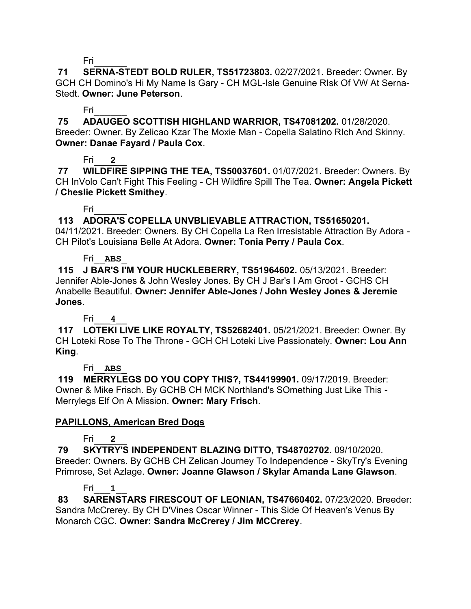**71 SERNA-STEDT BOLD RULER, TS51723803.** 02/27/2021. Breeder: Owner. By GCH CH Domino's Hi My Name Is Gary - CH MGL-Isle Genuine RIsk Of VW At Serna-Stedt. **Owner: June Peterson**.

### Fri\_\_\_\_\_\_

**75 ADAUGEO SCOTTISH HIGHLAND WARRIOR, TS47081202.** 01/28/2020. Breeder: Owner. By Zelicao Kzar The Moxie Man - Copella Salatino RIch And Skinny. **Owner: Danae Fayard / Paula Cox**.

# Fri\_\_\_**2**\_\_

**77 WILDFIRE SIPPING THE TEA, TS50037601.** 01/07/2021. Breeder: Owners. By CH InVolo Can't Fight This Feeling - CH Wildfire Spill The Tea. **Owner: Angela Pickett / Cheslie Pickett Smithey**.

# Fri\_\_\_\_\_\_

# **113 ADORA'S COPELLA UNVBLIEVABLE ATTRACTION, TS51650201.**

04/11/2021. Breeder: Owners. By CH Copella La Ren Irresistable Attraction By Adora - CH Pilot's Louisiana Belle At Adora. **Owner: Tonia Perry / Paula Cox**.

### Fri\_\_**ABS**\_

**115 J BAR'S I'M YOUR HUCKLEBERRY, TS51964602.** 05/13/2021. Breeder: Jennifer Able-Jones & John Wesley Jones. By CH J Bar's I Am Groot - GCHS CH Anabelle Beautiful. **Owner: Jennifer Able-Jones / John Wesley Jones & Jeremie Jones**.

# Fri\_\_\_**4**\_\_

**117 LOTEKI LIVE LIKE ROYALTY, TS52682401.** 05/21/2021. Breeder: Owner. By CH Loteki Rose To The Throne - GCH CH Loteki Live Passionately. **Owner: Lou Ann King**.

# Fri\_\_**ABS**\_

**119 MERRYLEGS DO YOU COPY THIS?, TS44199901.** 09/17/2019. Breeder: Owner & Mike Frisch. By GCHB CH MCK Northland's SOmething Just Like This - Merrylegs Elf On A Mission. **Owner: Mary Frisch**.

# **PAPILLONS, American Bred Dogs**

# Fri\_\_\_**2**\_\_

**79 SKYTRY'S INDEPENDENT BLAZING DITTO, TS48702702.** 09/10/2020. Breeder: Owners. By GCHB CH Zelican Journey To Independence - SkyTry's Evening Primrose, Set Azlage. **Owner: Joanne Glawson / Skylar Amanda Lane Glawson**.

# Fri\_\_\_**1**\_\_

**83 SARENSTARS FIRESCOUT OF LEONIAN, TS47660402.** 07/23/2020. Breeder: Sandra McCrerey. By CH D'Vines Oscar Winner - This Side Of Heaven's Venus By Monarch CGC. **Owner: Sandra McCrerey / Jim MCCrerey**.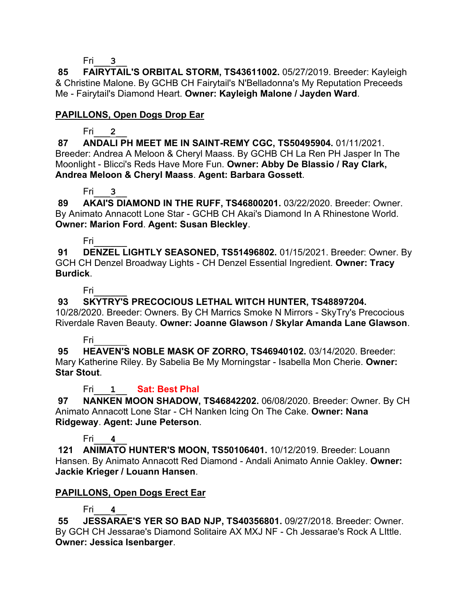Fri\_\_\_**3**\_\_

**85 FAIRYTAIL'S ORBITAL STORM, TS43611002.** 05/27/2019. Breeder: Kayleigh & Christine Malone. By GCHB CH Fairytail's N'Belladonna's My Reputation Preceeds Me - Fairytail's Diamond Heart. **Owner: Kayleigh Malone / Jayden Ward**.

# **PAPILLONS, Open Dogs Drop Ear**

# Fri\_\_\_**2**\_\_

**87 ANDALI PH MEET ME IN SAINT-REMY CGC, TS50495904.** 01/11/2021. Breeder: Andrea A Meloon & Cheryl Maass. By GCHB CH La Ren PH Jasper In The Moonlight - Blicci's Reds Have More Fun. **Owner: Abby De Blassio / Ray Clark, Andrea Meloon & Cheryl Maass**. **Agent: Barbara Gossett**.

# Fri\_\_\_**3**\_\_

**89 AKAI'S DIAMOND IN THE RUFF, TS46800201.** 03/22/2020. Breeder: Owner. By Animato Annacott Lone Star - GCHB CH Akai's Diamond In A Rhinestone World. **Owner: Marion Ford**. **Agent: Susan Bleckley**.

# Fri\_\_\_\_\_\_

**91 DENZEL LIGHTLY SEASONED, TS51496802.** 01/15/2021. Breeder: Owner. By GCH CH Denzel Broadway Lights - CH Denzel Essential Ingredient. **Owner: Tracy Burdick**.

Fri\_\_\_\_\_\_

# **93 SKYTRY'S PRECOCIOUS LETHAL WITCH HUNTER, TS48897204.**

10/28/2020. Breeder: Owners. By CH Marrics Smoke N Mirrors - SkyTry's Precocious Riverdale Raven Beauty. **Owner: Joanne Glawson / Skylar Amanda Lane Glawson**.

# Fri\_\_\_\_\_\_

**95 HEAVEN'S NOBLE MASK OF ZORRO, TS46940102.** 03/14/2020. Breeder: Mary Katherine Riley. By Sabelia Be My Morningstar - Isabella Mon Cherie. **Owner: Star Stout**.

# Fri\_\_\_**1**\_\_ **Sat: Best Phal**

**97 NANKEN MOON SHADOW, TS46842202.** 06/08/2020. Breeder: Owner. By CH Animato Annacott Lone Star - CH Nanken Icing On The Cake. **Owner: Nana Ridgeway**. **Agent: June Peterson**.

# Fri\_\_\_**4**\_\_

**121 ANIMATO HUNTER'S MOON, TS50106401.** 10/12/2019. Breeder: Louann Hansen. By Animato Annacott Red Diamond - Andali Animato Annie Oakley. **Owner: Jackie Krieger / Louann Hansen**.

# **PAPILLONS, Open Dogs Erect Ear**

# Fri\_\_\_**4**\_\_

**55 JESSARAE'S YER SO BAD NJP, TS40356801.** 09/27/2018. Breeder: Owner. By GCH CH Jessarae's Diamond Solitaire AX MXJ NF - Ch Jessarae's Rock A LIttle. **Owner: Jessica Isenbarger**.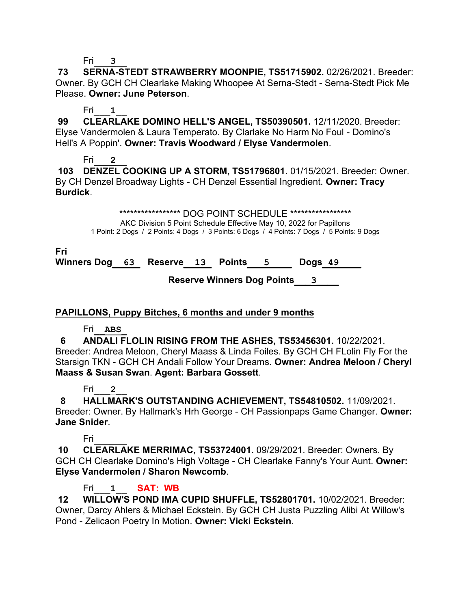Fri\_\_\_**3**\_\_

**73 SERNA-STEDT STRAWBERRY MOONPIE, TS51715902.** 02/26/2021. Breeder: Owner. By GCH CH Clearlake Making Whoopee At Serna-Stedt - Serna-Stedt Pick Me Please. **Owner: June Peterson**.

# Fri\_\_\_**1**\_\_

**99 CLEARLAKE DOMINO HELL'S ANGEL, TS50390501.** 12/11/2020. Breeder: Elyse Vandermolen & Laura Temperato. By Clarlake No Harm No Foul - Domino's Hell's A Poppin'. **Owner: Travis Woodward / Elyse Vandermolen**.

# Fri\_\_\_**2**\_\_

**103 DENZEL COOKING UP A STORM, TS51796801.** 01/15/2021. Breeder: Owner. By CH Denzel Broadway Lights - CH Denzel Essential Ingredient. **Owner: Tracy Burdick**.

\*\*\*\*\*\*\*\*\*\*\*\*\*\*\*\*\*\*\* DOG POINT SCHEDULE \*\*\*\*\*\*\*\*\*\*\*\*\*\*\*\*\*\*

AKC Division 5 Point Schedule Effective May 10, 2022 for Papillons 1 Point: 2 Dogs / 2 Points: 4 Dogs / 3 Points: 6 Dogs / 4 Points: 7 Dogs / 5 Points: 9 Dogs

**Fri**

**Winners Dog\_\_63\_ Reserve\_\_13\_ Points\_\_\_5\_\_\_\_ Dogs\_49\_\_\_\_**

 **Reserve Winners Dog Points\_\_\_3\_\_\_\_**

# **PAPILLONS, Puppy Bitches, 6 months and under 9 months**

# Fri\_\_**ABS**\_

 **6 ANDALI FLOLIN RISING FROM THE ASHES, TS53456301.** 10/22/2021. Breeder: Andrea Meloon, Cheryl Maass & Linda Foiles. By GCH CH FLolin Fly For the Starsign TKN - GCH CH Andali Follow Your Dreams. **Owner: Andrea Meloon / Cheryl Maass & Susan Swan**. **Agent: Barbara Gossett**.

# Fri\_\_\_**2**\_\_

 **8 HALLMARK'S OUTSTANDING ACHIEVEMENT, TS54810502.** 11/09/2021. Breeder: Owner. By Hallmark's Hrh George - CH Passionpaps Game Changer. **Owner: Jane Snider**.

# Fri\_\_\_\_\_\_

**10 CLEARLAKE MERRIMAC, TS53724001.** 09/29/2021. Breeder: Owners. By GCH CH Clearlake Domino's High Voltage - CH Clearlake Fanny's Your Aunt. **Owner: Elyse Vandermolen / Sharon Newcomb**.

# Fri\_\_\_**1**\_\_ **SAT: WB**

**12 WILLOW'S POND IMA CUPID SHUFFLE, TS52801701.** 10/02/2021. Breeder: Owner, Darcy Ahlers & Michael Eckstein. By GCH CH Justa Puzzling Alibi At Willow's Pond - Zelicaon Poetry In Motion. **Owner: Vicki Eckstein**.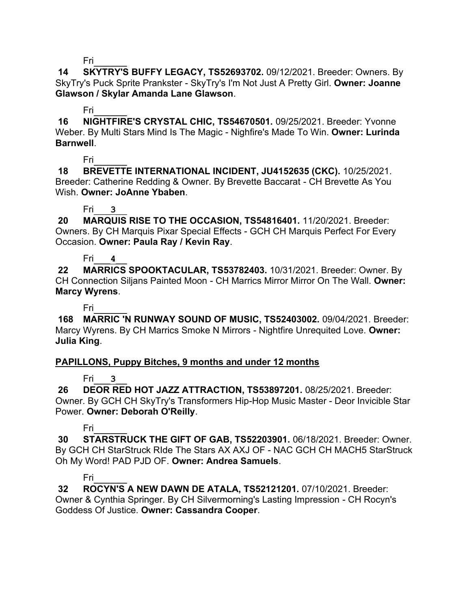**14 SKYTRY'S BUFFY LEGACY, TS52693702.** 09/12/2021. Breeder: Owners. By SkyTry's Puck Sprite Prankster - SkyTry's I'm Not Just A Pretty Girl. **Owner: Joanne Glawson / Skylar Amanda Lane Glawson**.

### Fri\_\_\_\_\_\_

**16 NIGHTFIRE'S CRYSTAL CHIC, TS54670501.** 09/25/2021. Breeder: Yvonne Weber. By Multi Stars Mind Is The Magic - Nighfire's Made To Win. **Owner: Lurinda Barnwell**.

# Fri\_\_\_\_\_\_

**18 BREVETTE INTERNATIONAL INCIDENT, JU4152635 (CKC).** 10/25/2021. Breeder: Catherine Redding & Owner. By Brevette Baccarat - CH Brevette As You Wish. **Owner: JoAnne Ybaben**.

# Fri\_\_\_**3**\_\_

**20 MARQUIS RISE TO THE OCCASION, TS54816401.** 11/20/2021. Breeder: Owners. By CH Marquis Pixar Special Effects - GCH CH Marquis Perfect For Every Occasion. **Owner: Paula Ray / Kevin Ray**.

# Fri\_\_\_**4**\_\_

**22 MARRICS SPOOKTACULAR, TS53782403.** 10/31/2021. Breeder: Owner. By CH Connection Siljans Painted Moon - CH Marrics Mirror Mirror On The Wall. **Owner: Marcy Wyrens**.

Fri\_\_\_\_\_\_

**168 MARRIC 'N RUNWAY SOUND OF MUSIC, TS52403002.** 09/04/2021. Breeder: Marcy Wyrens. By CH Marrics Smoke N Mirrors - Nightfire Unrequited Love. **Owner: Julia King**.

# **PAPILLONS, Puppy Bitches, 9 months and under 12 months**

# Fri\_\_\_**3**\_\_

**26 DEOR RED HOT JAZZ ATTRACTION, TS53897201.** 08/25/2021. Breeder: Owner. By GCH CH SkyTry's Transformers Hip-Hop Music Master - Deor Invicible Star Power. **Owner: Deborah O'Reilly**.

# Fri\_\_\_\_\_\_

**30 STARSTRUCK THE GIFT OF GAB, TS52203901.** 06/18/2021. Breeder: Owner. By GCH CH StarStruck RIde The Stars AX AXJ OF - NAC GCH CH MACH5 StarStruck Oh My Word! PAD PJD OF. **Owner: Andrea Samuels**.

# Fri\_\_\_\_\_\_

**32 ROCYN'S A NEW DAWN DE ATALA, TS52121201.** 07/10/2021. Breeder: Owner & Cynthia Springer. By CH Silvermorning's Lasting Impression - CH Rocyn's Goddess Of Justice. **Owner: Cassandra Cooper**.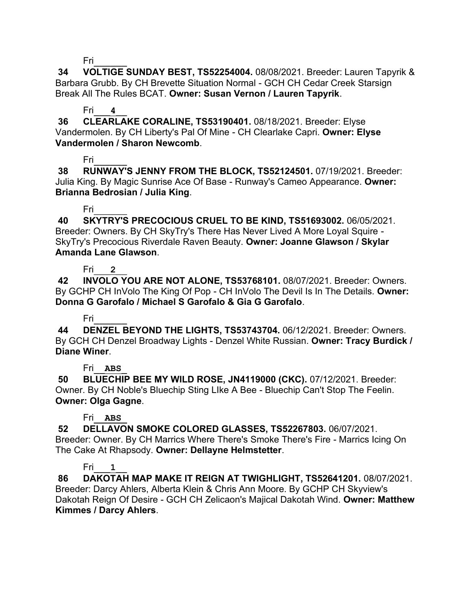**34 VOLTIGE SUNDAY BEST, TS52254004.** 08/08/2021. Breeder: Lauren Tapyrik & Barbara Grubb. By CH Brevette Situation Normal - GCH CH Cedar Creek Starsign Break All The Rules BCAT. **Owner: Susan Vernon / Lauren Tapyrik**.

# Fri\_\_\_**4**\_\_

**36 CLEARLAKE CORALINE, TS53190401.** 08/18/2021. Breeder: Elyse Vandermolen. By CH Liberty's Pal Of Mine - CH Clearlake Capri. **Owner: Elyse Vandermolen / Sharon Newcomb**.

# Fri\_\_\_\_\_\_

**38 RUNWAY'S JENNY FROM THE BLOCK, TS52124501.** 07/19/2021. Breeder: Julia King. By Magic Sunrise Ace Of Base - Runway's Cameo Appearance. **Owner: Brianna Bedrosian / Julia King**.

# Fri\_\_\_\_\_\_

**40 SKYTRY'S PRECOCIOUS CRUEL TO BE KIND, TS51693002.** 06/05/2021. Breeder: Owners. By CH SkyTry's There Has Never Lived A More Loyal Squire - SkyTry's Precocious Riverdale Raven Beauty. **Owner: Joanne Glawson / Skylar Amanda Lane Glawson**.

# Fri\_\_\_**2**\_\_

**42 INVOLO YOU ARE NOT ALONE, TS53768101.** 08/07/2021. Breeder: Owners. By GCHP CH InVolo The King Of Pop - CH InVolo The Devil Is In The Details. **Owner: Donna G Garofalo / Michael S Garofalo & Gia G Garofalo**.

# Fri\_\_\_\_\_\_

**44 DENZEL BEYOND THE LIGHTS, TS53743704.** 06/12/2021. Breeder: Owners. By GCH CH Denzel Broadway Lights - Denzel White Russian. **Owner: Tracy Burdick / Diane Winer**.

# Fri\_\_**ABS**\_

**50 BLUECHIP BEE MY WILD ROSE, JN4119000 (CKC).** 07/12/2021. Breeder: Owner. By CH Noble's Bluechip Sting LIke A Bee - Bluechip Can't Stop The Feelin. **Owner: Olga Gagne**.

# Fri\_\_**ABS**\_

**52 DELLAVON SMOKE COLORED GLASSES, TS52267803.** 06/07/2021. Breeder: Owner. By CH Marrics Where There's Smoke There's Fire - Marrics Icing On The Cake At Rhapsody. **Owner: Dellayne Helmstetter**.

# Fri\_\_\_**1**\_\_

**86 DAKOTAH MAP MAKE IT REIGN AT TWIGHLIGHT, TS52641201.** 08/07/2021. Breeder: Darcy Ahlers, Alberta Klein & Chris Ann Moore. By GCHP CH Skyview's Dakotah Reign Of Desire - GCH CH Zelicaon's Majical Dakotah Wind. **Owner: Matthew Kimmes / Darcy Ahlers**.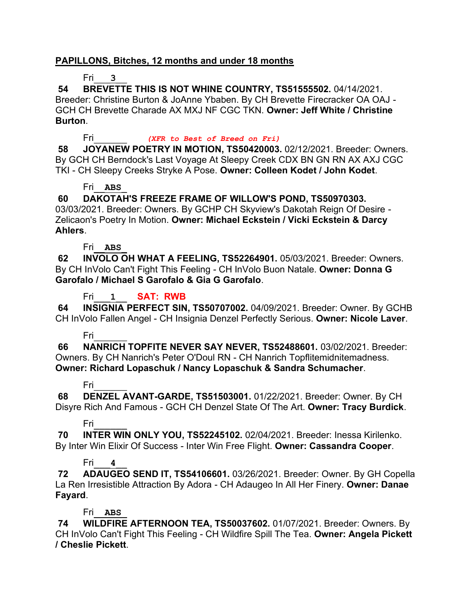### **PAPILLONS, Bitches, 12 months and under 18 months**

### Fri\_\_\_**3**\_\_

**54 BREVETTE THIS IS NOT WHINE COUNTRY, TS51555502.** 04/14/2021. Breeder: Christine Burton & JoAnne Ybaben. By CH Brevette Firecracker OA OAJ - GCH CH Brevette Charade AX MXJ NF CGC TKN. **Owner: Jeff White / Christine Burton**.

Fri\_\_\_\_\_\_ *(XFR to Best of Breed on Fri)*

**58 JOYANEW POETRY IN MOTION, TS50420003.** 02/12/2021. Breeder: Owners. By GCH CH Berndock's Last Voyage At Sleepy Creek CDX BN GN RN AX AXJ CGC TKI - CH Sleepy Creeks Stryke A Pose. **Owner: Colleen Kodet / John Kodet**.

### Fri\_\_**ABS**\_

# **60 DAKOTAH'S FREEZE FRAME OF WILLOW'S POND, TS50970303.**

03/03/2021. Breeder: Owners. By GCHP CH Skyview's Dakotah Reign Of Desire - Zelicaon's Poetry In Motion. **Owner: Michael Eckstein / Vicki Eckstein & Darcy Ahlers**.

### Fri\_\_**ABS**\_

**62 INVOLO OH WHAT A FEELING, TS52264901.** 05/03/2021. Breeder: Owners. By CH InVolo Can't Fight This Feeling - CH InVolo Buon Natale. **Owner: Donna G Garofalo / Michael S Garofalo & Gia G Garofalo**.

Fri\_\_\_**1**\_\_ **SAT: RWB**

**64 INSIGNIA PERFECT SIN, TS50707002.** 04/09/2021. Breeder: Owner. By GCHB CH InVolo Fallen Angel - CH Insignia Denzel Perfectly Serious. **Owner: Nicole Laver**.

### Fri\_\_\_\_\_\_

**66 NANRICH TOPFITE NEVER SAY NEVER, TS52488601.** 03/02/2021. Breeder: Owners. By CH Nanrich's Peter O'Doul RN - CH Nanrich Topflitemidnitemadness. **Owner: Richard Lopaschuk / Nancy Lopaschuk & Sandra Schumacher**.

### Fri\_\_\_\_\_\_

**68 DENZEL AVANT-GARDE, TS51503001.** 01/22/2021. Breeder: Owner. By CH Disyre Rich And Famous - GCH CH Denzel State Of The Art. **Owner: Tracy Burdick**.

### Fri\_\_\_\_\_\_

**70 INTER WIN ONLY YOU, TS52245102.** 02/04/2021. Breeder: Inessa Kirilenko. By Inter Win Elixir Of Success - Inter Win Free Flight. **Owner: Cassandra Cooper**.

# Fri\_\_\_**4**\_\_

**72 ADAUGEO SEND IT, TS54106601.** 03/26/2021. Breeder: Owner. By GH Copella La Ren Irresistible Attraction By Adora - CH Adaugeo In All Her Finery. **Owner: Danae Fayard**.

### Fri\_\_**ABS**\_

**74 WILDFIRE AFTERNOON TEA, TS50037602.** 01/07/2021. Breeder: Owners. By CH InVolo Can't Fight This Feeling - CH Wildfire Spill The Tea. **Owner: Angela Pickett / Cheslie Pickett**.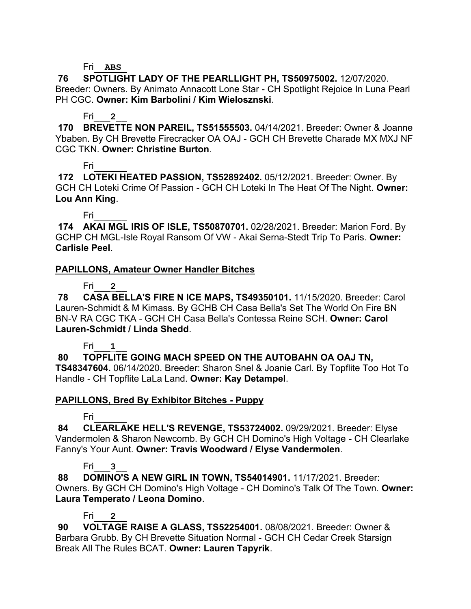### Fri\_\_**ABS**\_

**76 SPOTLIGHT LADY OF THE PEARLLIGHT PH, TS50975002.** 12/07/2020. Breeder: Owners. By Animato Annacott Lone Star - CH Spotlight Rejoice In Luna Pearl PH CGC. **Owner: Kim Barbolini / Kim Wielosznski**.

### Fri\_\_\_**2**\_\_

**170 BREVETTE NON PAREIL, TS51555503.** 04/14/2021. Breeder: Owner & Joanne Ybaben. By CH Brevette Firecracker OA OAJ - GCH CH Brevette Charade MX MXJ NF CGC TKN. **Owner: Christine Burton**.

### Fri\_\_\_\_\_\_

**172 LOTEKI HEATED PASSION, TS52892402.** 05/12/2021. Breeder: Owner. By GCH CH Loteki Crime Of Passion - GCH CH Loteki In The Heat Of The Night. **Owner: Lou Ann King**.

Fri\_\_\_\_\_\_

**174 AKAI MGL IRIS OF ISLE, TS50870701.** 02/28/2021. Breeder: Marion Ford. By GCHP CH MGL-Isle Royal Ransom Of VW - Akai Serna-Stedt Trip To Paris. **Owner: Carlisle Peel**.

### **PAPILLONS, Amateur Owner Handler Bitches**

Fri\_\_\_**2**\_\_

**78 CASA BELLA'S FIRE N ICE MAPS, TS49350101.** 11/15/2020. Breeder: Carol Lauren-Schmidt & M Kimass. By GCHB CH Casa Bella's Set The World On Fire BN BN-V RA CGC TKA - GCH CH Casa Bella's Contessa Reine SCH. **Owner: Carol Lauren-Schmidt / Linda Shedd**.

### Fri\_\_\_**1**\_\_

**80 TOPFLITE GOING MACH SPEED ON THE AUTOBAHN OA OAJ TN, TS48347604.** 06/14/2020. Breeder: Sharon Snel & Joanie Carl. By Topflite Too Hot To Handle - CH Topflite LaLa Land. **Owner: Kay Detampel**.

### **PAPILLONS, Bred By Exhibitor Bitches - Puppy**

# Fri\_\_\_\_\_\_

**84 CLEARLAKE HELL'S REVENGE, TS53724002.** 09/29/2021. Breeder: Elyse Vandermolen & Sharon Newcomb. By GCH CH Domino's High Voltage - CH Clearlake Fanny's Your Aunt. **Owner: Travis Woodward / Elyse Vandermolen**.

# Fri\_\_\_**3**\_\_

**88 DOMINO'S A NEW GIRL IN TOWN, TS54014901.** 11/17/2021. Breeder: Owners. By GCH CH Domino's High Voltage - CH Domino's Talk Of The Town. **Owner: Laura Temperato / Leona Domino**.

# Fri\_\_\_**2**\_\_

**90 VOLTAGE RAISE A GLASS, TS52254001.** 08/08/2021. Breeder: Owner & Barbara Grubb. By CH Brevette Situation Normal - GCH CH Cedar Creek Starsign Break All The Rules BCAT. **Owner: Lauren Tapyrik**.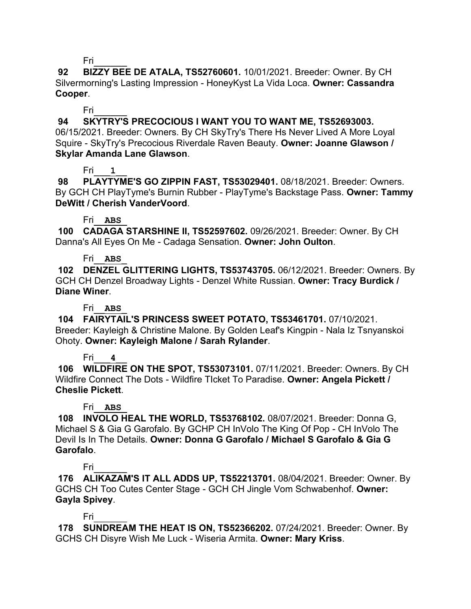**92 BIZZY BEE DE ATALA, TS52760601.** 10/01/2021. Breeder: Owner. By CH Silvermorning's Lasting Impression - HoneyKyst La Vida Loca. **Owner: Cassandra Cooper**.

Fri\_\_\_\_\_\_

**94 SKYTRY'S PRECOCIOUS I WANT YOU TO WANT ME, TS52693003.** 

06/15/2021. Breeder: Owners. By CH SkyTry's There Hs Never Lived A More Loyal Squire - SkyTry's Precocious Riverdale Raven Beauty. **Owner: Joanne Glawson / Skylar Amanda Lane Glawson**.

# Fri\_\_\_**1**\_\_

**98 PLAYTYME'S GO ZIPPIN FAST, TS53029401.** 08/18/2021. Breeder: Owners. By GCH CH PlayTyme's Burnin Rubber - PlayTyme's Backstage Pass. **Owner: Tammy DeWitt / Cherish VanderVoord**.

### Fri\_\_**ABS**\_

**100 CADAGA STARSHINE II, TS52597602.** 09/26/2021. Breeder: Owner. By CH Danna's All Eyes On Me - Cadaga Sensation. **Owner: John Oulton**.

### Fri\_\_**ABS**\_

**102 DENZEL GLITTERING LIGHTS, TS53743705.** 06/12/2021. Breeder: Owners. By GCH CH Denzel Broadway Lights - Denzel White Russian. **Owner: Tracy Burdick / Diane Winer**.

### Fri\_\_**ABS**\_

**104 FAIRYTAIL'S PRINCESS SWEET POTATO, TS53461701.** 07/10/2021. Breeder: Kayleigh & Christine Malone. By Golden Leaf's Kingpin - Nala Iz Tsnyanskoi Ohoty. **Owner: Kayleigh Malone / Sarah Rylander**.

# Fri\_\_\_**4**\_\_

**106 WILDFIRE ON THE SPOT, TS53073101.** 07/11/2021. Breeder: Owners. By CH Wildfire Connect The Dots - Wildfire TIcket To Paradise. **Owner: Angela Pickett / Cheslie Pickett**.

# Fri\_\_**ABS**\_

**108 INVOLO HEAL THE WORLD, TS53768102.** 08/07/2021. Breeder: Donna G, Michael S & Gia G Garofalo. By GCHP CH InVolo The King Of Pop - CH InVolo The Devil Is In The Details. **Owner: Donna G Garofalo / Michael S Garofalo & Gia G Garofalo**.

# Fri\_\_\_\_\_\_

**176 ALIKAZAM'S IT ALL ADDS UP, TS52213701.** 08/04/2021. Breeder: Owner. By GCHS CH Too Cutes Center Stage - GCH CH Jingle Vom Schwabenhof. **Owner: Gayla Spivey**.

Fri\_\_\_\_\_\_

**178 SUNDREAM THE HEAT IS ON, TS52366202.** 07/24/2021. Breeder: Owner. By GCHS CH Disyre Wish Me Luck - Wiseria Armita. **Owner: Mary Kriss**.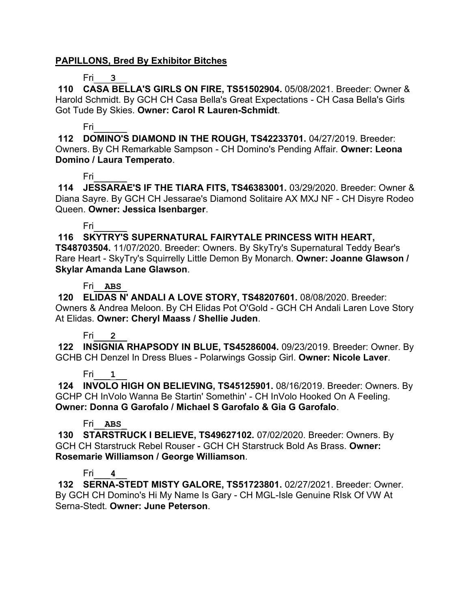### **PAPILLONS, Bred By Exhibitor Bitches**

#### Fri\_\_\_**3**\_\_

**110 CASA BELLA'S GIRLS ON FIRE, TS51502904.** 05/08/2021. Breeder: Owner & Harold Schmidt. By GCH CH Casa Bella's Great Expectations - CH Casa Bella's Girls Got Tude By Skies. **Owner: Carol R Lauren-Schmidt**.

### Fri\_\_\_\_\_\_

**112 DOMINO'S DIAMOND IN THE ROUGH, TS42233701.** 04/27/2019. Breeder: Owners. By CH Remarkable Sampson - CH Domino's Pending Affair. **Owner: Leona Domino / Laura Temperato**.

### Fri\_\_\_\_\_\_

**114 JESSARAE'S IF THE TIARA FITS, TS46383001.** 03/29/2020. Breeder: Owner & Diana Sayre. By GCH CH Jessarae's Diamond Solitaire AX MXJ NF - CH Disyre Rodeo Queen. **Owner: Jessica Isenbarger**.

### Fri\_\_\_\_\_\_

### **116 SKYTRY'S SUPERNATURAL FAIRYTALE PRINCESS WITH HEART,**

**TS48703504.** 11/07/2020. Breeder: Owners. By SkyTry's Supernatural Teddy Bear's Rare Heart - SkyTry's Squirrelly Little Demon By Monarch. **Owner: Joanne Glawson / Skylar Amanda Lane Glawson**.

### Fri\_\_**ABS**\_

**120 ELIDAS N' ANDALI A LOVE STORY, TS48207601.** 08/08/2020. Breeder: Owners & Andrea Meloon. By CH Elidas Pot O'Gold - GCH CH Andali Laren Love Story At Elidas. **Owner: Cheryl Maass / Shellie Juden**.

### Fri\_\_\_**2**\_\_

**122 INSIGNIA RHAPSODY IN BLUE, TS45286004.** 09/23/2019. Breeder: Owner. By GCHB CH Denzel In Dress Blues - Polarwings Gossip Girl. **Owner: Nicole Laver**.

### Fri\_\_\_**1**\_\_

**124 INVOLO HIGH ON BELIEVING, TS45125901.** 08/16/2019. Breeder: Owners. By GCHP CH InVolo Wanna Be Startin' Somethin' - CH InVolo Hooked On A Feeling. **Owner: Donna G Garofalo / Michael S Garofalo & Gia G Garofalo**.

### Fri\_\_**ABS**\_

**130 STARSTRUCK I BELIEVE, TS49627102.** 07/02/2020. Breeder: Owners. By GCH CH Starstruck Rebel Rouser - GCH CH Starstruck Bold As Brass. **Owner: Rosemarie Williamson / George Williamson**.

### Fri\_\_\_**4**\_\_

**132 SERNA-STEDT MISTY GALORE, TS51723801.** 02/27/2021. Breeder: Owner. By GCH CH Domino's Hi My Name Is Gary - CH MGL-Isle Genuine RIsk Of VW At Serna-Stedt. **Owner: June Peterson**.